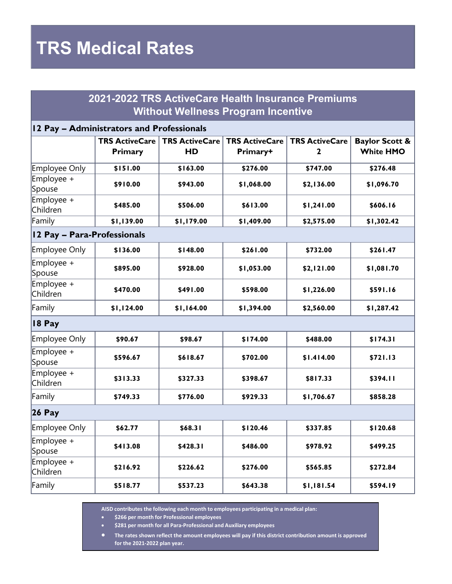# **TRS Medical Rates**

### **2021-2022 TRS ActiveCare Health Insurance Premiums Without Wellness Program Incentive**

#### **12 Pay – Administrators and Professionals**

|                             | <b>TRS ActiveCare</b><br>Primary | <b>TRS ActiveCare</b><br><b>HD</b> | <b>TRS ActiveCare</b><br>Primary+ | <b>TRS ActiveCare</b><br>2 | <b>Baylor Scott &amp;</b><br><b>White HMO</b> |  |  |  |
|-----------------------------|----------------------------------|------------------------------------|-----------------------------------|----------------------------|-----------------------------------------------|--|--|--|
| Employee Only               | \$151.00                         | \$163.00                           | \$276.00                          | \$747.00                   | \$276.48                                      |  |  |  |
| Employee +<br>Spouse        | \$910.00                         | \$943.00                           | \$1,068.00                        | \$2,136.00                 | \$1,096.70                                    |  |  |  |
| Employee +<br>Children      | \$485.00                         | \$506.00                           | \$613.00                          | \$1,241.00                 | \$606.16                                      |  |  |  |
| Family                      | \$1,139.00                       | \$1,179.00                         | \$1,409.00                        | \$2,575.00                 | \$1,302.42                                    |  |  |  |
| 12 Pay - Para-Professionals |                                  |                                    |                                   |                            |                                               |  |  |  |
| Employee Only               | \$136.00                         | \$148.00                           | \$261.00                          | \$732.00                   | \$261.47                                      |  |  |  |
| Employee +<br>Spouse        | \$895.00                         | \$928.00                           | \$1,053.00                        | \$2,121.00                 | \$1,081.70                                    |  |  |  |
| Employee +<br>Children      | \$470.00                         | \$491.00                           | \$598.00                          | \$1,226.00                 | \$591.16                                      |  |  |  |
| Family                      | \$1,124.00                       | \$1,164.00                         | \$1,394.00                        | \$2,560.00                 | \$1,287.42                                    |  |  |  |
| 18 Pay                      |                                  |                                    |                                   |                            |                                               |  |  |  |
| Employee Only               | \$90.67                          | \$98.67                            | \$174.00                          | \$488.00                   | \$174.31                                      |  |  |  |
| Employee +<br>Spouse        | \$596.67                         | \$618.67                           | \$702.00                          | \$1.414.00                 | \$721.13                                      |  |  |  |
| Employee +<br>Children      | \$313.33                         | \$327.33                           | \$398.67                          | \$817.33                   | \$394.11                                      |  |  |  |
| Family                      | \$749.33                         | \$776.00                           | \$929.33                          | \$1,706.67                 | \$858.28                                      |  |  |  |
| <b>26 Pay</b>               |                                  |                                    |                                   |                            |                                               |  |  |  |
| Employee Only               | \$62.77                          | \$68.31                            | \$120.46                          | \$337.85                   | \$120.68                                      |  |  |  |
| Employee +<br>Spouse        | \$413.08                         | \$428.31                           | \$486.00                          | \$978.92                   | \$499.25                                      |  |  |  |
| Employee +<br>Children      | \$216.92                         | \$226.62                           | \$276.00                          | \$565.85                   | \$272.84                                      |  |  |  |
| Family                      | \$518.77                         | \$537.23                           | \$643.38                          | \$1,181.54                 | \$594.19                                      |  |  |  |

**AISD contributes the following each month to employees participating in a medical plan:**

• **\$266 per month for Professional employees**

• **\$281 per month for all Para-Professional and Auxiliary employees**

• **The rates shown reflect the amount employees will pay if this district contribution amount is approved for the 2021-2022 plan year.**